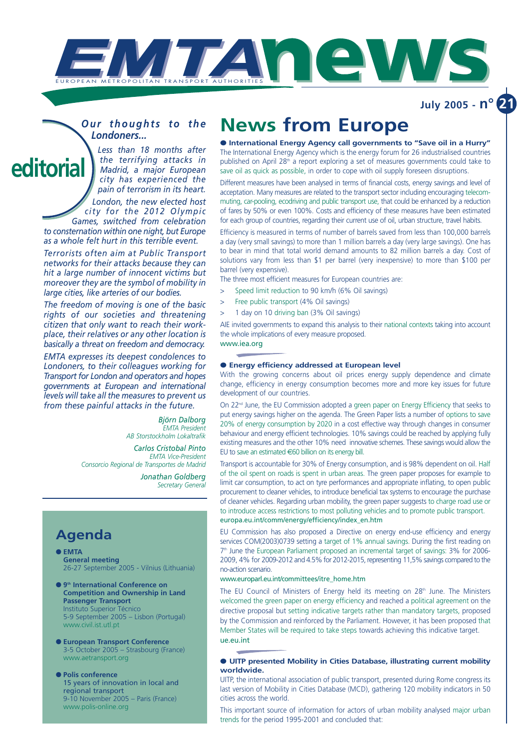

**July 2005 - n° 21**

### *Our thoughts to the Londoners...*

*Less than 18 months after the terrifying attacks in Madrid, a major European city has experienced the pain of terrorism in its heart. London, the new elected host city for the 2012 Olympic Games, switched from celebration to consternation within one night, but Europe* **editorial**

*as a whole felt hurt in this terrible event. Terrorists often aim at Public Transport*

*networks for their attacks because they can hit a large number of innocent victims but moreover they are the symbol of mobility in large cities, like arteries of our bodies.*

*The freedom of moving is one of the basic rights of our societies and threatening citizen that only want to reach their workplace, their relatives or any other location is basically a threat on freedom and democracy.*

*EMTA expresses its deepest condolences to Londoners, to their colleagues working for Transport for London and operators and hopes governments at European and international levels will take all the measures to prevent us from these painful attacks in the future.*

> *Björn Dalborg EMTA President AB Storstockholm Lokaltrafik*

*Carlos Cristobal Pinto EMTA Vice-President Consorcio Regional de Transportes de Madrid*

> *Jonathan Goldberg Secretary General*

### **Agenda**

- **EMTA General meeting** 26-27 September 2005 - Vilnius (Lithuania)
- **9th International Conference on Competition and Ownership in Land Passenger Transport**  Instituto Superior Técnico 5-9 September 2005 – Lisbon (Portugal) www.civil.ist.utl.pt
- **European Transport Conference** 3-5 October 2005 – Strasbourg (France) www.aetransport.org
- **Polis conference**  15 years of innovation in local and regional transport 9-10 November 2005 – Paris (France) www.polis-online.org

# **News from Europe**

● **International Energy Agency call governments to "Save oil in a Hurry"** The International Energy Agency which is the energy forum for 26 industrialised countries published on April 28<sup>th</sup> a report exploring a set of measures governments could take to save oil as quick as possible, in order to cope with oil supply foreseen disruptions.

Different measures have been analysed in terms of financial costs, energy savings and level of acceptation. Many measures are related to the transport sector including encouraging telecommuting, car-pooling, ecodriving and public transport use, that could be enhanced by a reduction of fares by 50% or even 100%. Costs and efficiency of these measures have been estimated for each group of countries, regarding their current use of oil, urban structure, travel habits.

Efficiency is measured in terms of number of barrels saved from less than 100,000 barrels a day (very small savings) to more than 1 million barrels a day (very large savings). One has to bear in mind that total world demand amounts to 82 million barrels a day. Cost of solutions vary from less than \$1 per barrel (very inexpensive) to more than \$100 per barrel (very expensive).

The three most efficient measures for European countries are:

- > Speed limit reduction to 90 km/h (6% Oil savings)
- > Free public transport (4% Oil savings)
- 1 day on 10 driving ban (3% Oil savings)

AIE invited governments to expand this analysis to their national contexts taking into account the whole implications of every measure proposed.

### www.iea.org

#### ● **Energy efficiency addressed at European level**

With the growing concerns about oil prices energy supply dependence and climate change, efficiency in energy consumption becomes more and more key issues for future development of our countries.

On 22<sup>nd</sup> June, the EU Commission adopted a green paper on Energy Efficiency that seeks to put energy savings higher on the agenda. The Green Paper lists a number of options to save 20% of energy consumption by 2020 in a cost effective way through changes in consumer behaviour and energy efficient technologies. 10% savings could be reached by applying fully existing measures and the other 10% need innovative schemes. These savings would allow the EU to save an estimated €60 billion on its energy bill.

Transport is accountable for 30% of Energy consumption, and is 98% dependent on oil. Half of the oil spent on roads is spent in urban areas. The green paper proposes for example to limit car consumption, to act on tyre performances and appropriate inflating, to open public procurement to cleaner vehicles, to introduce beneficial tax systems to encourage the purchase of cleaner vehicles. Regarding urban mobility, the green paper suggests to charge road use or to introduce access restrictions to most polluting vehicles and to promote public transport. europa.eu.int/comm/energy/efficiency/index\_en.htm

EU Commission has also proposed a Directive on energy end-use efficiency and energy services COM(2003)0739 setting a target of 1% annual savings. During the first reading on  $7<sup>th</sup>$  June the European Parliament proposed an incremental target of savings:  $3%$  for 2006-2009, 4% for 2009-2012 and 4.5% for 2012-2015, representing 11,5% savings compared to the no-action scenario.

#### www.europarl.eu.int/committees/itre\_home.htm

The EU Council of Ministers of Energy held its meeting on 28<sup>th</sup> June. The Ministers welcomed the green paper on energy efficiency and reached a political agreement on the directive proposal but setting indicative targets rather than mandatory targets, proposed by the Commission and reinforced by the Parliament. However, it has been proposed that Member States will be required to take steps towards achieving this indicative target. ue.eu.int

#### ● **UITP presented Mobility in Cities Database, illustrating current mobility worldwide.**

UITP, the international association of public transport, presented during Rome congress its last version of Mobility in Cities Database (MCD), gathering 120 mobility indicators in 50 cities across the world.

This important source of information for actors of urban mobility analysed major urban trends for the period 1995-2001 and concluded that: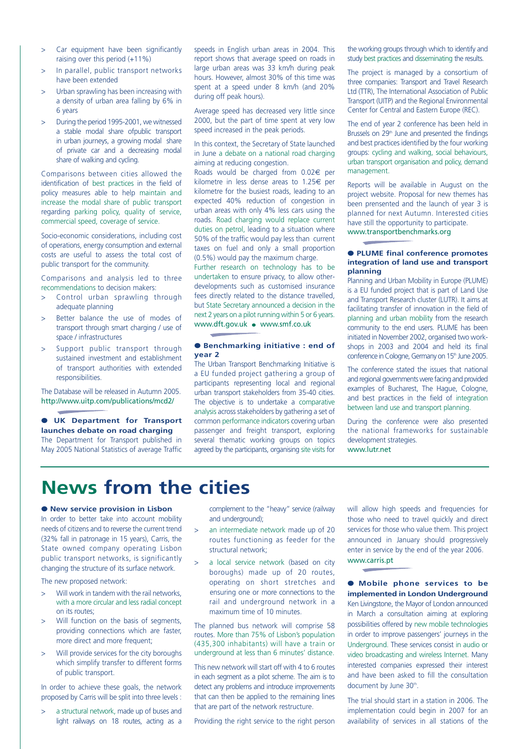- Car equipment have been significantly raising over this period (+11%)
- > In parallel, public transport networks have been extended
- > Urban sprawling has been increasing with a density of urban area falling by 6% in 6 years
- > During the period 1995-2001, we witnessed a stable modal share ofpublic transport in urban journeys, a growing modal share of private car and a decreasing modal share of walking and cycling.

Comparisons between cities allowed the identification of best practices in the field of policy measures able to help maintain and increase the modal share of public transport regarding parking policy, quality of service, commercial speed, coverage of service.

Socio-economic considerations, including cost of operations, energy consumption and external costs are useful to assess the total cost of public transport for the community.

Comparisons and analysis led to three recommendations to decision makers:

- > Control urban sprawling through adequate planning
- > Better balance the use of modes of transport through smart charging / use of space / infrastructures
- Support public transport through sustained investment and establishment of transport authorities with extended responsibilities.

The Database will be released in Autumn 2005. http://www.uitp.com/publications/mcd2/

● **UK Department for Transport launches debate on road charging** The Department for Transport published in May 2005 National Statistics of average Traffic speeds in English urban areas in 2004. This report shows that average speed on roads in large urban areas was 33 km/h during peak hours. However, almost 30% of this time was spent at a speed under 8 km/h (and 20% during off peak hours).

Average speed has decreased very little since 2000, but the part of time spent at very low speed increased in the peak periods.

In this context, the Secretary of State launched in June a debate on a national road charging aiming at reducing congestion.

Roads would be charged from 0.02€ per kilometre in less dense areas to 1.25€ per kilometre for the busiest roads, leading to an expected 40% reduction of congestion in urban areas with only 4% less cars using the roads. Road charging would replace current duties on petrol, leading to a situation where 50% of the traffic would pay less than current taxes on fuel and only a small proportion (0.5%) would pay the maximum charge.

Further research on technology has to be undertaken to ensure privacy, to allow otherdevelopments such as customised insurance fees directly related to the distance travelled, but State Secretary announced a decision in the next 2 years on a pilot running within 5 or 6 years. www.dft.gov.uk ● www.smf.co.uk

#### ● **Benchmarking initiative : end of year 2**

The Urban Transport Benchmarking Initiative is a EU funded project gathering a group of participants representing local and regional urban transport stakeholders from 35-40 cities. The objective is to undertake a comparative analysis across stakeholders by gathering a set of common performance indicators covering urban passenger and freight transport, exploring several thematic working groups on topics agreed by the participants, organising site visits for

the working groups through which to identify and study best practices and disseminating the results.

The project is managed by a consortium of three companies: Transport and Travel Research Ltd (TTR), The International Association of Public Transport (UITP) and the Regional Environmental Center for Central and Eastern Europe (REC).

The end of year 2 conference has been held in Brussels on  $29<sup>th</sup>$  June and presented the findings and best practices identified by the four working groups: cycling and walking, social behaviours, urban transport organisation and policy, demand management.

Reports will be available in August on the project website. Proposal for new themes has been prensented and the launch of year 3 is planned for next Autumn. Interested cities have still the opportunity to participate. www.transportbenchmarks.org

#### ● **PLUME final conference promotes integration of land use and transport planning**

Planning and Urban Mobility in Europe (PLUME) is a EU funded project that is part of Land Use and Transport Research cluster (LUTR). It aims at facilitating transfer of innovation in the field of planning and urban mobility from the research community to the end users. PLUME has been initiated in November 2002, organised two workshops in 2003 and 2004 and held its final conference in Cologne, Germany on 15<sup>th</sup> June 2005.

The conference stated the issues that national and regional governments were facing and provided examples of Bucharest, The Hague, Cologne, and best practices in the field of integration between land use and transport planning.

During the conference were also presented the national frameworks for sustainable development strategies. www.lutr.net

# **News from the cities**

#### ● **New service provision in Lisbon**

In order to better take into account mobility needs of citizens and to reverse the current trend (32% fall in patronage in 15 years), Carris, the State owned company operating Lisbon public transport networks, is significantly changing the structure of its surface network.

The new proposed network:

- > Will work in tandem with the rail networks, with a more circular and less radial concept on its routes;
- > Will function on the basis of segments, providing connections which are faster, more direct and more frequent:
- > Will provide services for the city boroughs which simplify transfer to different forms of public transport.

In order to achieve these goals, the network proposed by Carris will be split into three levels :

> a structural network, made up of buses and light railways on 18 routes, acting as a complement to the "heavy" service (railway and underground);

- > an intermediate network made up of 20 routes functioning as feeder for the structural network;
- a local service network (based on city boroughs) made up of 20 routes, operating on short stretches and ensuring one or more connections to the rail and underground network in a maximum time of 10 minutes.

The planned bus network will comprise 58 routes. More than 75% of Lisbon's population (435,300 inhabitants) will have a train or underground at less than 6 minutes' distance.

This new network will start off with 4 to 6 routes in each segment as a pilot scheme. The aim is to detect any problems and introduce improvements that can then be applied to the remaining lines that are part of the network restructure.

Providing the right service to the right person

will allow high speeds and frequencies for those who need to travel quickly and direct services for those who value them. This project announced in January should progressively enter in service by the end of the year 2006. www.carris.pt

● **Mobile phone services to be implemented in London Underground** Ken Livingstone, the Mayor of London announced in March a consultation aiming at exploring possibilities offered by new mobile technologies in order to improve passengers' journeys in the Underground. These services consist in audio or video broadcasting and wireless Internet. Many interested companies expressed their interest and have been asked to fill the consultation document by June 30<sup>th</sup>.

The trial should start in a station in 2006. The implementation could begin in 2007 for an availability of services in all stations of the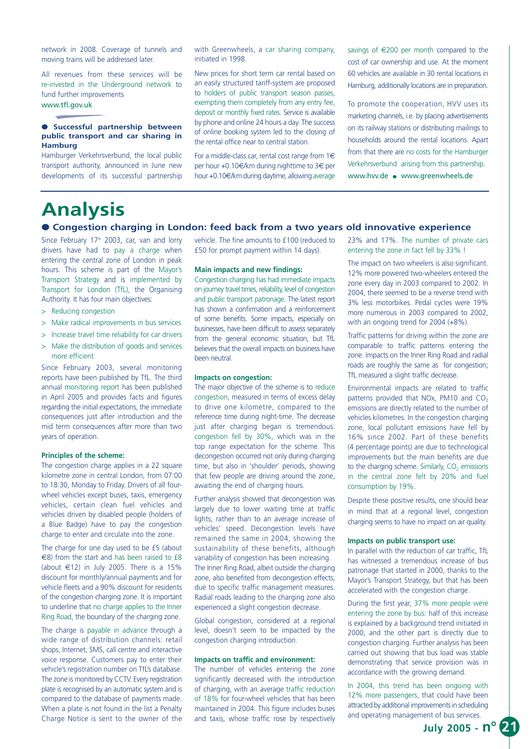network in 2008. Coverage of tunnels and moving trains will be addressed later.

All revenues from these services will be re-invested in the Underground network to fund further improvements www.tfl.gov.uk

#### ● **Successful partnership between public transport and car sharing in Hamburg**

Hamburger Verkehrsverbund, the local public transport authority, announced in June new developments of its successful partnership with Greenwheels, a car sharing company, initiated in 1998.

New prices for short term car rental based on an easily structured tariff-system are proposed to holders of public transport season passes, exempting them completely from any entry fee, deposit or monthly fixed rates. Service is available by phone and online 24 hours a day. The success of online booking system led to the closing of the rental office near to central station.

For a middle-class car, rental cost range from  $1 \in$ per hour +0.10€/km during nighttime to 3€ per hour +0.10€/km during daytime, allowing average savings of €200 per month compared to the cost of car ownership and use. At the moment 60 vehicles are available in 30 rental locations in Hamburg, additionally locations are in preparation.

To promote the cooperation, HVV uses its marketing channels, i.e. by placing advertisements on its railway stations or distributing mailings to households around the rental locations. Apart from that there are no costs for the Hamburger Verkehrsverbund arising from this partnership. www.hvv.de ● www.greenwheels.de

## **Analysis**

#### ● **Congestion charging in London: feed back from a two years old innovative experience**

Since February 17<sup>th</sup> 2003, car, van and lorry drivers have had to pay a charge when entering the central zone of London in peak hours. This scheme is part of the Mayor's Transport Strategy and is implemented by Transport for London (TfL), the Organising Authority. It has four main objectives:

- > Reducing congestion
- > Make radical improvements in bus services
- > Increase travel time reliability for car drivers
- > Make the distribution of goods and services more efficient

Since February 2003, several monitoring reports have been published by TfL. The third annual monitoring report has been published in April 2005 and provides facts and figures regarding the initial expectations, the immediate consequences just after introduction and the mid term consequences after more than two years of operation.

#### **Principles of the scheme:**

The congestion charge applies in a 22 square kilometre zone in central London, from 07:00 to 18:30, Monday to Friday. Drivers of all fourwheel vehicles except buses, taxis, emergency vehicles, certain clean fuel vehicles and vehicles driven by disabled people (holders of a Blue Badge) have to pay the congestion charge to enter and circulate into the zone.

The charge for one day used to be £5 (about €8) from the start and has been raised to £8 (about  $\in$ 12) in July 2005. There is a 15% discount for monthly/annual payments and for vehicle fleets and a 90% discount for residents of the congestion charging zone. It is important to underline that no charge applies to the Inner Ring Road, the boundary of the charging zone.

The charge is payable in advance through a wide range of distribution channels: retail shops, Internet, SMS, call centre and interactive voice response. Customers pay to enter their vehicle's registration number on TfL's database. The zone is monitored by CCTV. Every registration plate is recognised by an automatic system and is compared to the database of payments made. When a plate is not found in the list a Penalty Charge Notice is sent to the owner of the vehicle. The fine amounts to £100 (reduced to £50 for prompt payment within 14 days).

#### **Main impacts and new findings:**

Congestion charging has had immediate impacts on journey travel times, reliability, level of congestion and public transport patronage. The latest report has shown a confirmation and a reinforcement of some benefits. Some impacts, especially on businesses, have been difficult to assess separately from the general economic situation, but TfL believes that the overall impacts on business have been neutral.

#### **Impacts on congestion:**

The major objective of the scheme is to reduce congestion, measured in terms of excess delay to drive one kilometre, compared to the reference time during night-time. The decrease just after charging began is tremendous: congestion fell by 30%, which was in the top range expectation for the scheme. This decongestion occurred not only during charging time, but also in 'shoulder' periods, showing that few people are driving around the zone, awaiting the end of charging hours.

Further analysis showed that decongestion was largely due to lower waiting time at traffic lights, rather than to an average increase of vehicles' speed. Decongestion levels have remained the same in 2004, showing the sustainability of these benefits, although variability of congestion has been increasing. The Inner Ring Road, albeit outside the charging zone, also benefited from decongestion effects, due to specific traffic management measures. Radial roads leading to the charging zone also experienced a slight congestion decrease.

Global congestion, considered at a regional level, doesn't seem to be impacted by the congestion charging introduction.

#### **Impacts on traffic and environment:**

The number of vehicles entering the zone significantly decreased with the introduction of charging, with an average traffic reduction of 18% for four-wheel vehicles that has been maintained in 2004. This figure includes buses and taxis, whose traffic rose by respectively

23% and 17%. The number of private cars entering the zone in fact fell by 33% !

The impact on two wheelers is also significant. 12% more powered two-wheelers entered the zone every day in 2003 compared to 2002. In 2004, there seemed to be a reverse trend with 3% less motorbikes. Pedal cycles were 19% more numerous in 2003 compared to 2002, with an ongoing trend for 2004 (+8%).

Traffic patterns for driving within the zone are comparable to traffic patterns entering the zone. Impacts on the Inner Ring Road and radial roads are roughly the same as for congestion; TfL measured a slight traffic decrease.

Environmental impacts are related to traffic patterns provided that NOx, PM10 and  $CO<sub>2</sub>$ emissions are directly related to the number of vehicles kilometres. In the congestion charging zone, local pollutant emissions have fell by 16% since 2002. Part of these benefits (4 percentage points) are due to technological improvements but the main benefits are due to the charging scheme. Similarly,  $CO<sub>2</sub>$  emissions in the central zone felt by 20% and fuel consumption by 19%.

Despite these positive results, one should bear in mind that at a regional level, congestion charging seems to have no impact on air quality.

#### **Impacts on public transport use:**

In parallel with the reduction of car traffic, TfL has witnessed a tremendous increase of bus patronage that started in 2000, thanks to the Mayor's Transport Strategy, but that has been accelerated with the congestion charge.

During the first year, 37% more people were entering the zone by bus: half of this increase is explained by a background trend initiated in 2000, and the other part is directly due to congestion charging. Further analysis has been carried out showing that bus load was stable demonstrating that service provision was in accordance with the growing demand.

In 2004, this trend has been ongoing with 12% more passengers, that could have been attracted by additional improvements in scheduling and operating management of bus services.

**July 2005 - n° 21**